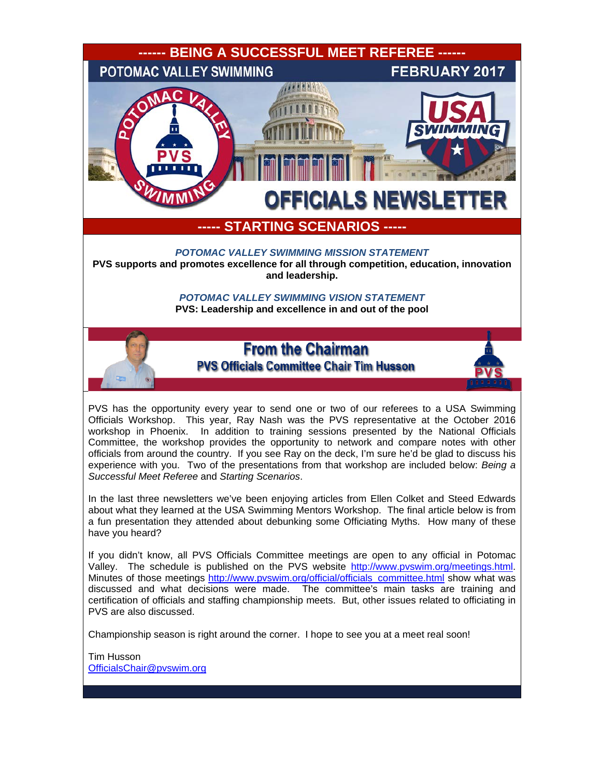

Championship season is right around the corner. I hope to see you at a meet real soon!

Tim Husson [OfficialsChair@pvswim.org](mailto:OfficialsChair@pvswim.org)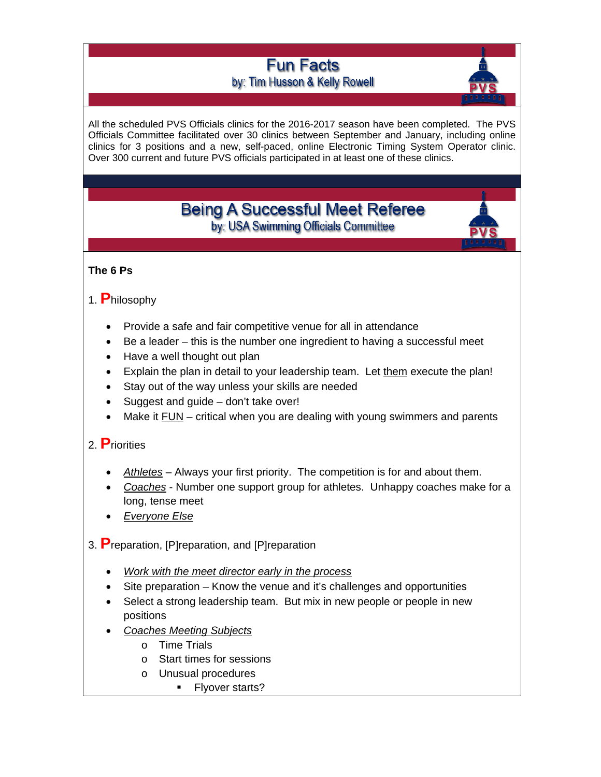# **Fun Facts** by: Tim Husson & Kelly Rowell



All the scheduled PVS Officials clinics for the 2016-2017 season have been completed. The PVS Officials Committee facilitated over 30 clinics between September and January, including online clinics for 3 positions and a new, self-paced, online Electronic Timing System Operator clinic. Over 300 current and future PVS officials participated in at least one of these clinics.

# **Being A Successful Meet Referee** by: USA Swimming Officials Committee



## **The 6 Ps**

# 1. **P**hilosophy

- Provide a safe and fair competitive venue for all in attendance
- Be a leader this is the number one ingredient to having a successful meet
- Have a well thought out plan
- Explain the plan in detail to your leadership team. Let them execute the plan!
- Stay out of the way unless your skills are needed
- Suggest and guide don't take over!
- Make it FUN critical when you are dealing with young swimmers and parents

# 2. **P**riorities

- *Athletes* Always your first priority. The competition is for and about them.
- *Coaches* Number one support group for athletes. Unhappy coaches make for a long, tense meet
- *Everyone Else*
- 3. **P**reparation, [P]reparation, and [P]reparation
	- *Work with the meet director early in the process*
	- Site preparation Know the venue and it's challenges and opportunities
	- Select a strong leadership team. But mix in new people or people in new positions
	- *Coaches Meeting Subjects*
		- o Time Trials
		- o Start times for sessions
		- o Unusual procedures
			- **Flyover starts?**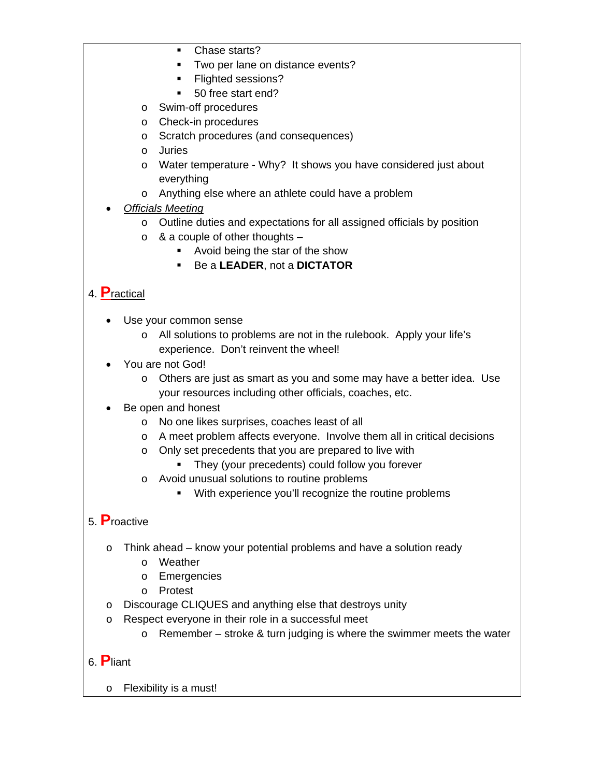- Chase starts?
- **Two per lane on distance events?**
- **Flighted sessions?**
- 50 free start end?
- o Swim-off procedures
- o Check-in procedures
- o Scratch procedures (and consequences)
- o Juries
- o Water temperature Why? It shows you have considered just about everything
- o Anything else where an athlete could have a problem
- *Officials Meeting*
	- o Outline duties and expectations for all assigned officials by position
	- $\circ$  & a couple of other thoughts
		- Avoid being the star of the show
		- Be a **LEADER**, not a **DICTATOR**

# 4. **P**ractical

- Use your common sense
	- o All solutions to problems are not in the rulebook. Apply your life's experience. Don't reinvent the wheel!
- You are not God!
	- o Others are just as smart as you and some may have a better idea. Use your resources including other officials, coaches, etc.
- Be open and honest
	- o No one likes surprises, coaches least of all
	- o A meet problem affects everyone. Involve them all in critical decisions
	- o Only set precedents that you are prepared to live with
		- **They (your precedents) could follow you forever**
	- o Avoid unusual solutions to routine problems
		- **With experience you'll recognize the routine problems**

# 5. **P**roactive

- o Think ahead know your potential problems and have a solution ready
	- o Weather
	- o Emergencies
	- o Protest
- o Discourage CLIQUES and anything else that destroys unity
- o Respect everyone in their role in a successful meet
	- $\circ$  Remember stroke & turn judging is where the swimmer meets the water

# 6. **P**liant

o Flexibility is a must!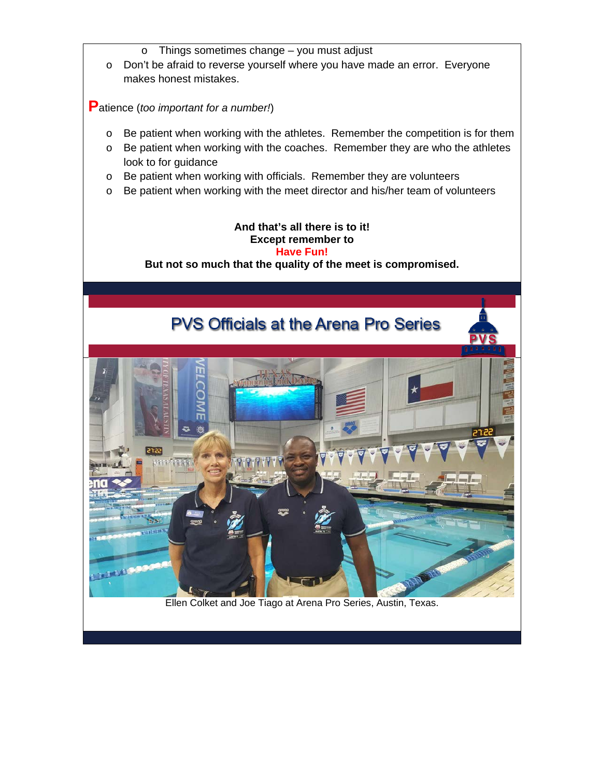- o Things sometimes change you must adjust
- o Don't be afraid to reverse yourself where you have made an error. Everyone makes honest mistakes.

**P**atience (*too important for a number!*)

- o Be patient when working with the athletes. Remember the competition is for them
- o Be patient when working with the coaches. Remember they are who the athletes look to for guidance
- o Be patient when working with officials. Remember they are volunteers
- o Be patient when working with the meet director and his/her team of volunteers

### **And that's all there is to it! Except remember to Have Fun! But not so much that the quality of the meet is compromised.**

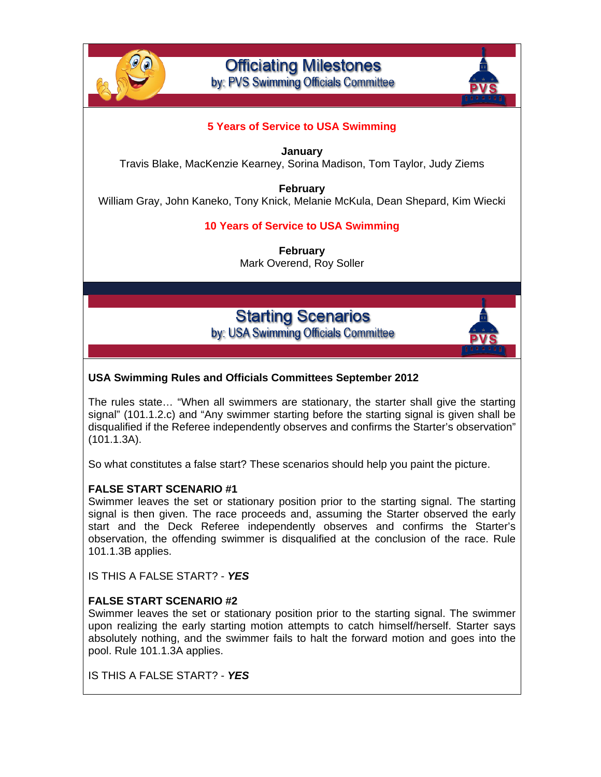

**Officiating Milestones** by: PVS Swimming Officials Committee

## **5 Years of Service to USA Swimming**

**January** Travis Blake, MacKenzie Kearney, Sorina Madison, Tom Taylor, Judy Ziems

**February** William Gray, John Kaneko, Tony Knick, Melanie McKula, Dean Shepard, Kim Wiecki

## **10 Years of Service to USA Swimming**

**February** Mark Overend, Roy Soller

**Starting Scenarios** by: USA Swimming Officials Committee



### **USA Swimming Rules and Officials Committees September 2012**

The rules state… "When all swimmers are stationary, the starter shall give the starting signal" (101.1.2.c) and "Any swimmer starting before the starting signal is given shall be disqualified if the Referee independently observes and confirms the Starter's observation" (101.1.3A).

So what constitutes a false start? These scenarios should help you paint the picture.

#### **FALSE START SCENARIO #1**

Swimmer leaves the set or stationary position prior to the starting signal. The starting signal is then given. The race proceeds and, assuming the Starter observed the early start and the Deck Referee independently observes and confirms the Starter's observation, the offending swimmer is disqualified at the conclusion of the race. Rule 101.1.3B applies.

IS THIS A FALSE START? - *YES*

#### **FALSE START SCENARIO #2**

Swimmer leaves the set or stationary position prior to the starting signal. The swimmer upon realizing the early starting motion attempts to catch himself/herself. Starter says absolutely nothing, and the swimmer fails to halt the forward motion and goes into the pool. Rule 101.1.3A applies.

IS THIS A FALSE START? - *YES*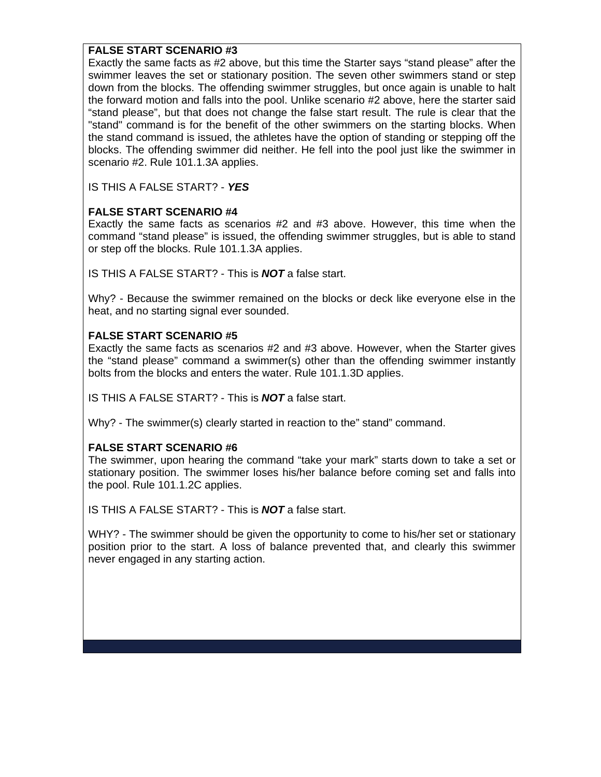## **FALSE START SCENARIO #3**

Exactly the same facts as #2 above, but this time the Starter says "stand please" after the swimmer leaves the set or stationary position. The seven other swimmers stand or step down from the blocks. The offending swimmer struggles, but once again is unable to halt the forward motion and falls into the pool. Unlike scenario #2 above, here the starter said "stand please", but that does not change the false start result. The rule is clear that the "stand" command is for the benefit of the other swimmers on the starting blocks. When the stand command is issued, the athletes have the option of standing or stepping off the blocks. The offending swimmer did neither. He fell into the pool just like the swimmer in scenario #2. Rule 101.1.3A applies.

IS THIS A FALSE START? - *YES*

## **FALSE START SCENARIO #4**

Exactly the same facts as scenarios #2 and #3 above. However, this time when the command "stand please" is issued, the offending swimmer struggles, but is able to stand or step off the blocks. Rule 101.1.3A applies.

IS THIS A FALSE START? - This is *NOT* a false start.

Why? - Because the swimmer remained on the blocks or deck like everyone else in the heat, and no starting signal ever sounded.

## **FALSE START SCENARIO #5**

Exactly the same facts as scenarios #2 and #3 above. However, when the Starter gives the "stand please" command a swimmer(s) other than the offending swimmer instantly bolts from the blocks and enters the water. Rule 101.1.3D applies.

IS THIS A FALSE START? - This is *NOT* a false start.

Why? - The swimmer(s) clearly started in reaction to the" stand" command.

### **FALSE START SCENARIO #6**

The swimmer, upon hearing the command "take your mark" starts down to take a set or stationary position. The swimmer loses his/her balance before coming set and falls into the pool. Rule 101.1.2C applies.

IS THIS A FALSE START? - This is *NOT* a false start.

WHY? - The swimmer should be given the opportunity to come to his/her set or stationary position prior to the start. A loss of balance prevented that, and clearly this swimmer never engaged in any starting action.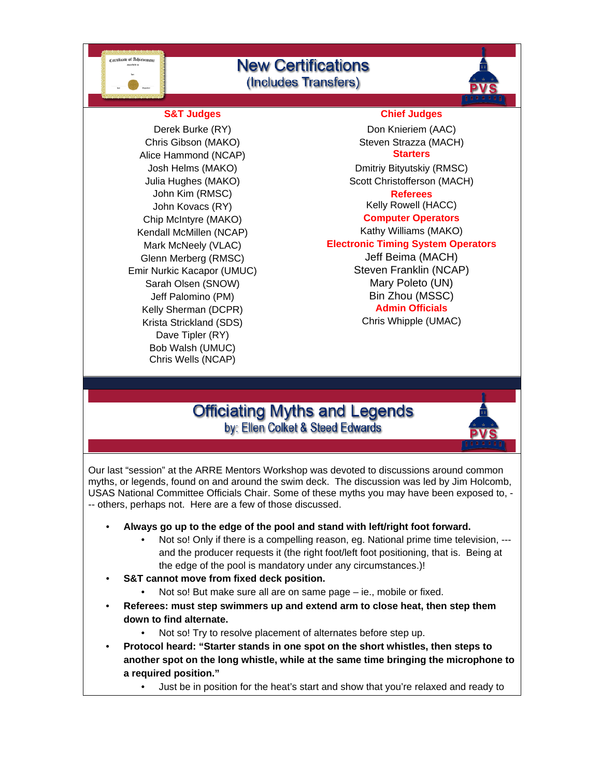

# **New Certifications** (Includes Transfers)



Chris Gibson (MAKO) Steven Strazza (MACH) Alice Hammond (NCAP) **Starters** John Kim (RMSC) **Referees** Chip McIntyre (MAKO) **Computer Operators** Kendall McMillen (NCAP) Kathy Williams (MAKO) Jeff Palomino (PM) Bin Zhou (MSSC) **Kelly Sherman (DCPR)** Krista Strickland (SDS) Chris Whipple (UMAC) Dave Tipler (RY) Bob Walsh (UMUC) Chris Wells (NCAP)

#### **S&T Judges Chief Judges**

Derek Burke (RY) Don Knieriem (AAC)

Josh Helms (MAKO) **Disk Australian Contract Contract Contract Contract Contract Contract Contract Contract Contract Contract Contract Contract Contract Contract Contract Contract Contract Contract Contract Contract Contrac** Julia Hughes (MAKO) Scott Christofferson (MACH) John Kovacs (RY) **Kelly Rowell** (HACC)

Mark McNeely (VLAC) **Electronic Timing System Operators**

Glenn Merberg (RMSC) Salema (MACH) Emir Nurkic Kacapor (UMUC) Steven Franklin (NCAP) Sarah Olsen (SNOW) Mary Poleto (UN)

# **Officiating Myths and Legends** by: Ellen Colket & Steed Edwards



Our last "session" at the ARRE Mentors Workshop was devoted to discussions around common myths, or legends, found on and around the swim deck. The discussion was led by Jim Holcomb, USAS National Committee Officials Chair. Some of these myths you may have been exposed to, - -- others, perhaps not. Here are a few of those discussed.

- **Always go up to the edge of the pool and stand with left/right foot forward.**
	- Not so! Only if there is a compelling reason, eg. National prime time television, --and the producer requests it (the right foot/left foot positioning, that is. Being at the edge of the pool is mandatory under any circumstances.)!
- **S&T cannot move from fixed deck position.** 
	- Not so! But make sure all are on same page ie., mobile or fixed.
- **Referees: must step swimmers up and extend arm to close heat, then step them down to find alternate.**
	- Not so! Try to resolve placement of alternates before step up.
- **Protocol heard: "Starter stands in one spot on the short whistles, then steps to another spot on the long whistle, while at the same time bringing the microphone to a required position."**
	- Just be in position for the heat's start and show that you're relaxed and ready to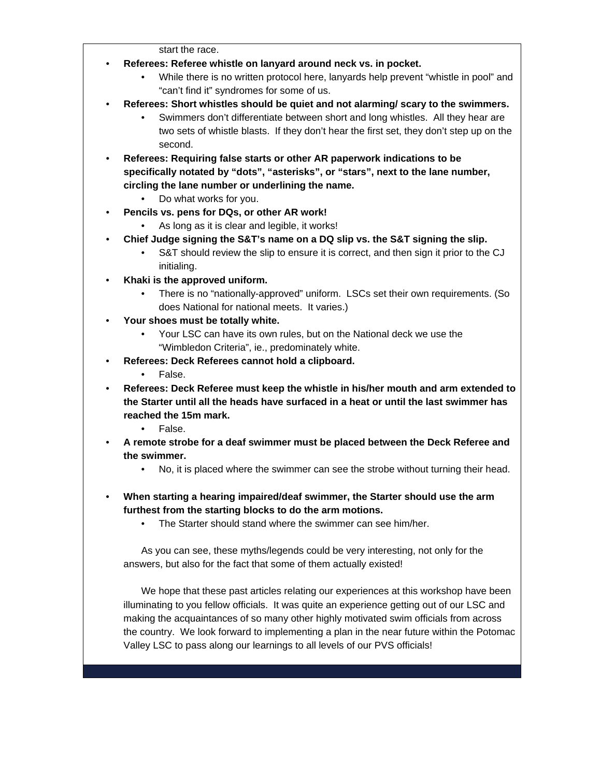start the race.

- **Referees: Referee whistle on lanyard around neck vs. in pocket.**
	- While there is no written protocol here, lanyards help prevent "whistle in pool" and "can't find it" syndromes for some of us.
- **Referees: Short whistles should be quiet and not alarming/ scary to the swimmers.**
	- Swimmers don't differentiate between short and long whistles. All they hear are two sets of whistle blasts. If they don't hear the first set, they don't step up on the second.
- **Referees: Requiring false starts or other AR paperwork indications to be specifically notated by "dots", "asterisks", or "stars", next to the lane number, circling the lane number or underlining the name.**
	- Do what works for you.
- **Pencils vs. pens for DQs, or other AR work!**
	- As long as it is clear and legible, it works!
	- **Chief Judge signing the S&T's name on a DQ slip vs. the S&T signing the slip.**
		- S&T should review the slip to ensure it is correct, and then sign it prior to the CJ initialing.
- **Khaki is the approved uniform.**
	- There is no "nationally-approved" uniform. LSCs set their own requirements. (So does National for national meets. It varies.)
- **Your shoes must be totally white.**
	- Your LSC can have its own rules, but on the National deck we use the "Wimbledon Criteria", ie., predominately white.
- **Referees: Deck Referees cannot hold a clipboard.**
	- False.
- **Referees: Deck Referee must keep the whistle in his/her mouth and arm extended to the Starter until all the heads have surfaced in a heat or until the last swimmer has reached the 15m mark.**
	- False.
- **A remote strobe for a deaf swimmer must be placed between the Deck Referee and the swimmer.**
	- No, it is placed where the swimmer can see the strobe without turning their head.
- **When starting a hearing impaired/deaf swimmer, the Starter should use the arm furthest from the starting blocks to do the arm motions.**
	- The Starter should stand where the swimmer can see him/her.

As you can see, these myths/legends could be very interesting, not only for the answers, but also for the fact that some of them actually existed!

We hope that these past articles relating our experiences at this workshop have been illuminating to you fellow officials. It was quite an experience getting out of our LSC and making the acquaintances of so many other highly motivated swim officials from across the country. We look forward to implementing a plan in the near future within the Potomac Valley LSC to pass along our learnings to all levels of our PVS officials!